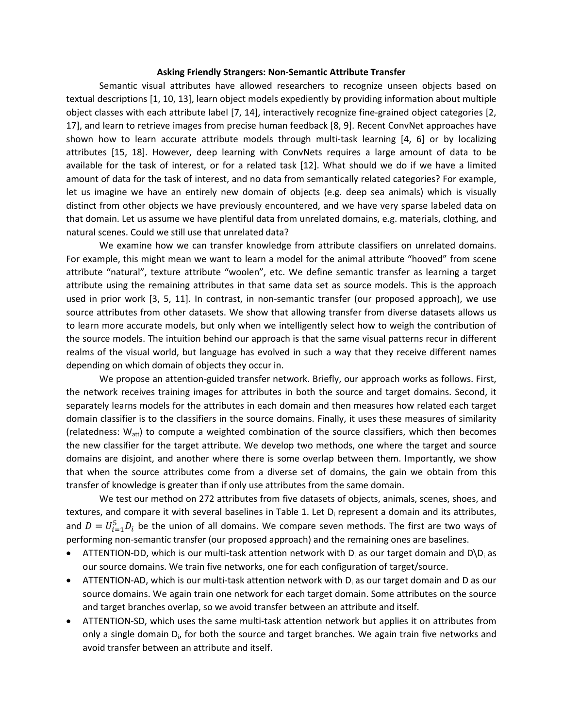## **Asking Friendly Strangers: Non-Semantic Attribute Transfer**

Semantic visual attributes have allowed researchers to recognize unseen objects based on textual descriptions [1, 10, 13], learn object models expediently by providing information about multiple object classes with each attribute label [7, 14], interactively recognize fine-grained object categories [2, 17], and learn to retrieve images from precise human feedback [8, 9]. Recent ConvNet approaches have shown how to learn accurate attribute models through multi-task learning [4, 6] or by localizing attributes [15, 18]. However, deep learning with ConvNets requires a large amount of data to be available for the task of interest, or for a related task [12]. What should we do if we have a limited amount of data for the task of interest, and no data from semantically related categories? For example, let us imagine we have an entirely new domain of objects (e.g. deep sea animals) which is visually distinct from other objects we have previously encountered, and we have very sparse labeled data on that domain. Let us assume we have plentiful data from unrelated domains, e.g. materials, clothing, and natural scenes. Could we still use that unrelated data?

We examine how we can transfer knowledge from attribute classifiers on unrelated domains. For example, this might mean we want to learn a model for the animal attribute "hooved" from scene attribute "natural", texture attribute "woolen", etc. We define semantic transfer as learning a target attribute using the remaining attributes in that same data set as source models. This is the approach used in prior work [3, 5, 11]. In contrast, in non-semantic transfer (our proposed approach), we use source attributes from other datasets. We show that allowing transfer from diverse datasets allows us to learn more accurate models, but only when we intelligently select how to weigh the contribution of the source models. The intuition behind our approach is that the same visual patterns recur in different realms of the visual world, but language has evolved in such a way that they receive different names depending on which domain of objects they occur in.

We propose an attention-guided transfer network. Briefly, our approach works as follows. First, the network receives training images for attributes in both the source and target domains. Second, it separately learns models for the attributes in each domain and then measures how related each target domain classifier is to the classifiers in the source domains. Finally, it uses these measures of similarity (relatedness:  $W_{\text{att}}$ ) to compute a weighted combination of the source classifiers, which then becomes the new classifier for the target attribute. We develop two methods, one where the target and source domains are disjoint, and another where there is some overlap between them. Importantly, we show that when the source attributes come from a diverse set of domains, the gain we obtain from this transfer of knowledge is greater than if only use attributes from the same domain.

We test our method on 272 attributes from five datasets of objects, animals, scenes, shoes, and textures, and compare it with several baselines in Table 1. Let  $D_i$  represent a domain and its attributes, and  $D = U_{i=1}^5 D_i$  be the union of all domains. We compare seven methods. The first are two ways of performing non-semantic transfer (our proposed approach) and the remaining ones are baselines.

- **•** ATTENTION-DD, which is our multi-task attention network with  $D_i$  as our target domain and  $D \ D_i$  as our source domains. We train five networks, one for each configuration of target/source.
- **•** ATTENTION-AD, which is our multi-task attention network with  $D_i$  as our target domain and D as our source domains. We again train one network for each target domain. Some attributes on the source and target branches overlap, so we avoid transfer between an attribute and itself.
- ATTENTION-SD, which uses the same multi-task attention network but applies it on attributes from only a single domain D<sub>i</sub>, for both the source and target branches. We again train five networks and avoid transfer between an attribute and itself.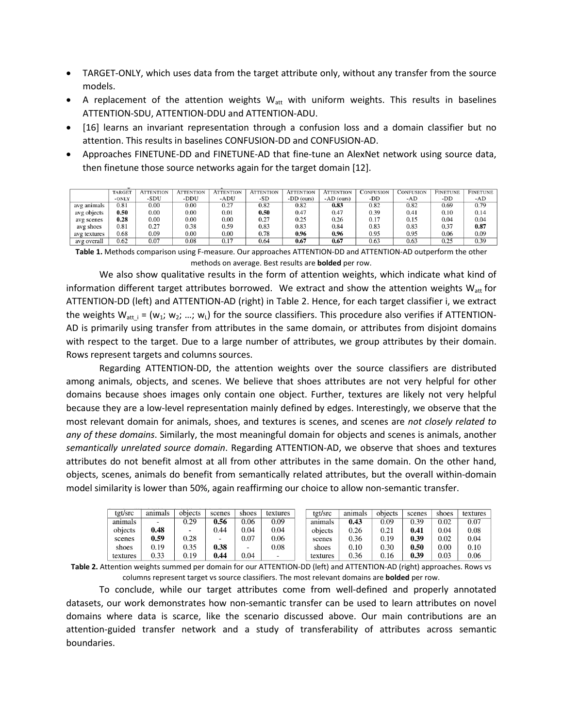- TARGET-ONLY, which uses data from the target attribute only, without any transfer from the source models.
- A replacement of the attention weights  $W_{att}$  with uniform weights. This results in baselines ATTENTION-SDU, ATTENTION-DDU and ATTENTION-ADU.
- [16] learns an invariant representation through a confusion loss and a domain classifier but no attention. This results in baselines CONFUSION-DD and CONFUSION-AD.
- Approaches FINETUNE-DD and FINETUNE-AD that fine-tune an AlexNet network using source data, then finetune those source networks again for the target domain [12].

|              | <b>TARGET</b> | <b>ATTENTION</b> | <b>ATTENTION</b> | <b>ATTENTION</b> | <b>ATTENTION</b> | <b>ATTENTION</b> | <b>ATTENTION</b> | CONFUSION | <b>CONFUSION</b> | <b>FINETUNE</b> | <b>FINETUNE</b> |
|--------------|---------------|------------------|------------------|------------------|------------------|------------------|------------------|-----------|------------------|-----------------|-----------------|
|              | -ONLY         | -SDU             | -DDU             | -ADU             | -SD              | $-DD$ (ours)     | $-AD$ (ours)     | -DD       | -AD              | -DD             | -AD             |
| avg animals  | 0.81          | 0.00             | 0.00             | 0.27             | 0.82             | 0.82             | 0.83             | 0.82      | 0.82             | 0.69            | 0.79            |
| avg objects  | 0.50          | 0.00             | 0.00             | 0.01             | 0.50             | 0.47             | 0.47             | 0.39      | 0.41             | 0.10            | 0.14            |
| avg scenes   | 0.28          | 0.00             | 0.00             | 0.00             | 0.27             | 0.25             | 0.26             | 0.17      | 0.15             | 0.04            | 0.04            |
| avg shoes    | 0.81          | 0.27             | 0.38             | 0.59             | 0.83             | 0.83             | 0.84             | 0.83      | 0.83             | 0.37            | 0.87            |
| avg textures | 0.68          | 0.09             | 0.00             | 0.00             | 0.78             | 0.96             | 0.96             | 0.95      | 0.95             | 0.06            | 0.09            |
| avg overall  | 0.62          | 0.07             | 0.08             | 0.17             | 0.64             | 0.67             | 0.67             | 0.63      | 0.63             | 0.25            | 0.39            |

**Table 1.** Methods comparison using F-measure. Our approaches ATTENTION-DD and ATTENTION-AD outperform the other methods on average. Best results are **bolded** per row.

We also show qualitative results in the form of attention weights, which indicate what kind of information different target attributes borrowed. We extract and show the attention weights  $W_{att}$  for ATTENTION-DD (left) and ATTENTION-AD (right) in Table 2. Hence, for each target classifier i, we extract the weights  $W_{att i} = (w_1; w_2; ...; w_l)$  for the source classifiers. This procedure also verifies if ATTENTION-AD is primarily using transfer from attributes in the same domain, or attributes from disjoint domains with respect to the target. Due to a large number of attributes, we group attributes by their domain. Rows represent targets and columns sources.

Regarding ATTENTION-DD, the attention weights over the source classifiers are distributed among animals, objects, and scenes. We believe that shoes attributes are not very helpful for other domains because shoes images only contain one object. Further, textures are likely not very helpful because they are a low-level representation mainly defined by edges. Interestingly, we observe that the most relevant domain for animals, shoes, and textures is scenes, and scenes are *not closely related to any of these domains*. Similarly, the most meaningful domain for objects and scenes is animals, another *semantically unrelated source domain*. Regarding ATTENTION-AD, we observe that shoes and textures attributes do not benefit almost at all from other attributes in the same domain. On the other hand, objects, scenes, animals do benefit from semantically related attributes, but the overall within-domain model similarity is lower than 50%, again reaffirming our choice to allow non-semantic transfer.

| tgt/src  | animals | objects                  | scenes | shoes                    | textures | tgt/src  | animals | objects | scenes | shoes    | textures |
|----------|---------|--------------------------|--------|--------------------------|----------|----------|---------|---------|--------|----------|----------|
| animals  |         | 0.29                     | 0.56   | 0.06                     | 0.09     | animals  | 0.43    | 0.09    | 0.39   | 0.02     | 0.07     |
| obiects  | 0.48    | $\overline{\phantom{a}}$ | 0.44   | 0.04                     | 0.04     | objects  | 0.26    | 0.21    | 0.41   | 0.04     | 0.08     |
| scenes   | 0.59    | 0.28                     |        | 0.07                     | 0.06     | scenes   | 0.36    | 0.19    | 0.39   | 0.02     | 0.04     |
| shoes    | 0.19    | 0.35                     | 0.38   | $\overline{\phantom{a}}$ | 0.08     | shoes    | 0.10    | 0.30    | 0.50   | $0.00\,$ | 0.10     |
| textures | 0.33    | 0.19                     | 0.44   | 0.04                     | -        | textures | 0.36    | 0.16    | 0.39   | 0.03     | 0.06     |

**Table 2.** Attention weights summed per domain for our ATTENTION-DD (left) and ATTENTION-AD (right) approaches. Rows vs columns represent target vs source classifiers. The most relevant domains are **bolded** per row.

To conclude, while our target attributes come from well-defined and properly annotated datasets, our work demonstrates how non-semantic transfer can be used to learn attributes on novel domains where data is scarce, like the scenario discussed above. Our main contributions are an attention-guided transfer network and a study of transferability of attributes across semantic boundaries.